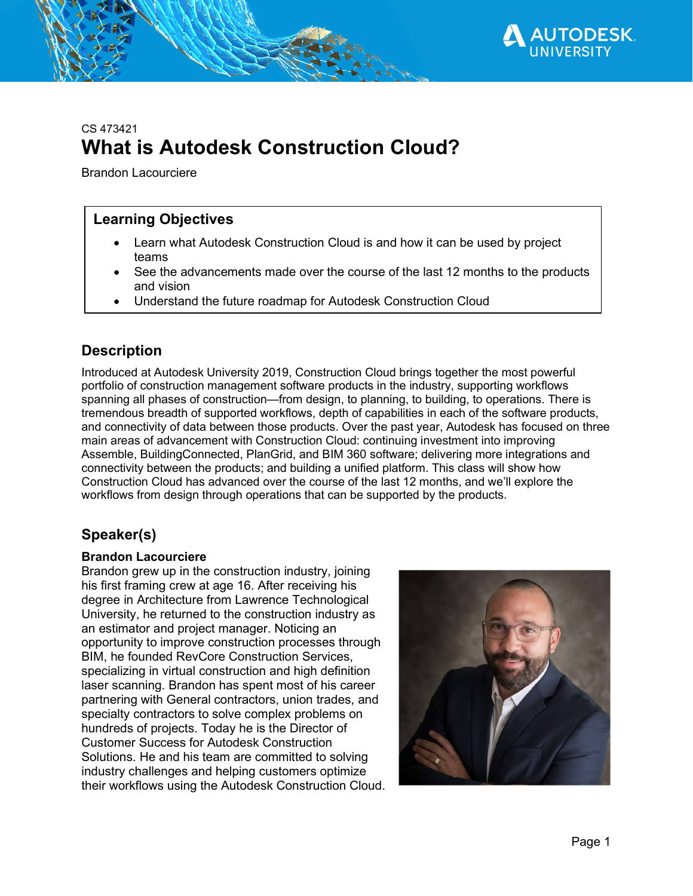

# CS 473421 What is Autodesk Construction Cloud?

Brandon Lacourciere

#### Learning Objectives

- Learn what Autodesk Construction Cloud is and how it can be used by project teams
- See the advancements made over the course of the last 12 months to the products and vision
- Understand the future roadmap for Autodesk Construction Cloud

## **Description**

Introduced at Autodesk University 2019, Construction Cloud brings together the most powerful portfolio of construction management software products in the industry, supporting workflows spanning all phases of construction—from design, to planning, to building, to operations. There is tremendous breadth of supported workflows, depth of capabilities in each of the software products, and connectivity of data between those products. Over the past year, Autodesk has focused on three main areas of advancement with Construction Cloud: continuing investment into improving Assemble, BuildingConnected, PlanGrid, and BIM 360 software; delivering more integrations and connectivity between the products; and building a unified platform. This class will show how Construction Cloud has advanced over the course of the last 12 months, and we'll explore the workflows from design through operations that can be supported by the products.

## Speaker(s)

#### Brandon Lacourciere

Brandon grew up in the construction industry, joining his first framing crew at age 16. After receiving his degree in Architecture from Lawrence Technological University, he returned to the construction industry as an estimator and project manager. Noticing an opportunity to improve construction processes through BIM, he founded RevCore Construction Services, specializing in virtual construction and high definition laser scanning. Brandon has spent most of his career partnering with General contractors, union trades, and specialty contractors to solve complex problems on hundreds of projects. Today he is the Director of Customer Success for Autodesk Construction Solutions. He and his team are committed to solving industry challenges and helping customers optimize their workflows using the Autodesk Construction Cloud.

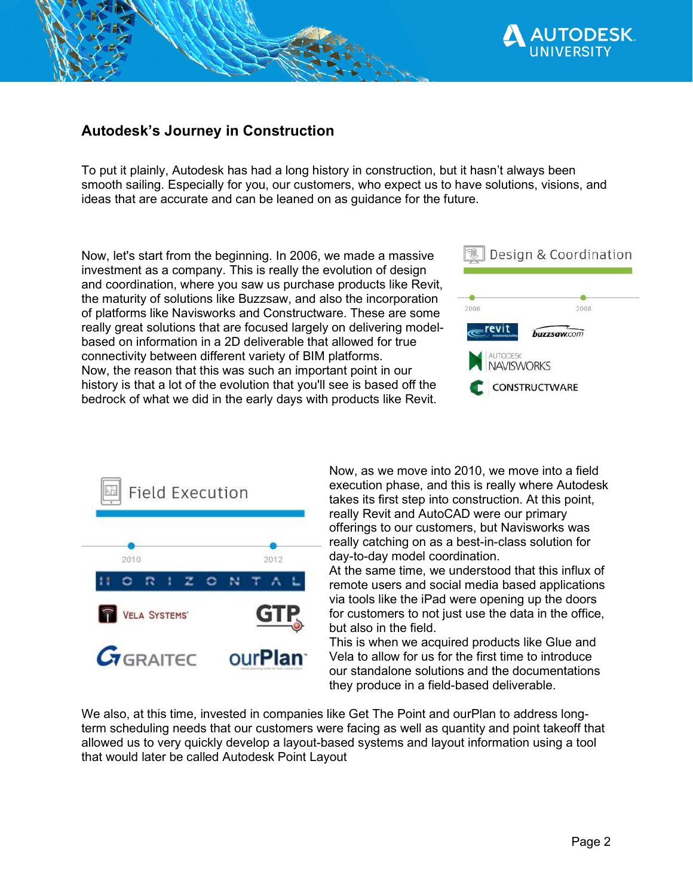

#### Autodesk's Journey in Construction

To put it plainly, Autodesk has had a long history in construction, but it hasn't always been smooth sailing. Especially for you, our customers, who expect us to have solutions, visions, and ideas that are accurate and can be leaned on as guidance for the future.

Now, let's start from the beginning. In 2006, we made a massive investment as a company. This is really the evolution of design and coordination, where you saw us purchase products like Revit, the maturity of solutions like Buzzsaw, and also the incorporation of platforms like Navisworks and Constructware. These are some really great solutions that are focused largely on delivering modelbased on information in a 2D deliverable that allowed for true connectivity between different variety of BIM platforms. Now, the reason that this was such an important point in our history is that a lot of the evolution that you'll see is based off the bedrock of what we did in the early days with products like Revit.





Now, as we move into 2010, we move into a field execution phase, and this is really where Autodesk takes its first step into construction. At this point, really Revit and AutoCAD were our primary offerings to our customers, but Navisworks was really catching on as a best-in-class solution for day-to-day model coordination.

At the same time, we understood that this influx of remote users and social media based applications via tools like the iPad were opening up the doors for customers to not just use the data in the office, but also in the field.

This is when we acquired products like Glue and Vela to allow for us for the first time to introduce our standalone solutions and the documentations they produce in a field-based deliverable.

We also, at this time, invested in companies like Get The Point and ourPlan to address longterm scheduling needs that our customers were facing as well as quantity and point takeoff that allowed us to very quickly develop a layout-based systems and layout information using a tool that would later be called Autodesk Point Layout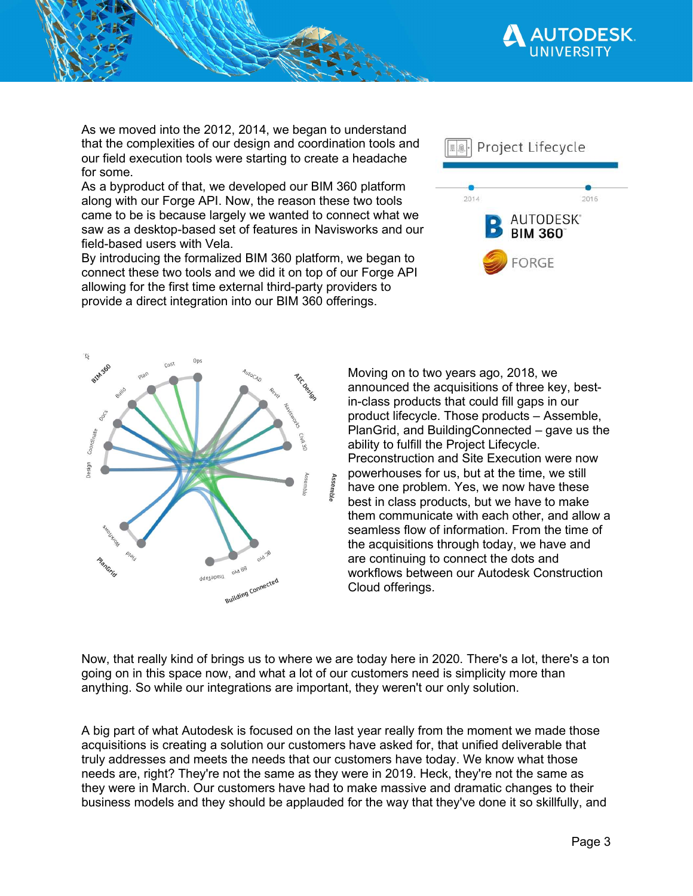

As we moved into the 2012, 2014, we began to understand that the complexities of our design and coordination tools and our field execution tools were starting to create a headache for some.

As a byproduct of that, we developed our BIM 360 platform along with our Forge API. Now, the reason these two tools came to be is because largely we wanted to connect what we saw as a desktop-based set of features in Navisworks and our field-based users with Vela.

By introducing the formalized BIM 360 platform, we began to connect these two tools and we did it on top of our Forge API allowing for the first time external third-party providers to provide a direct integration into our BIM 360 offerings.





Moving on to two years ago, 2018, we announced the acquisitions of three key, bestin-class products that could fill gaps in our product lifecycle. Those products – Assemble, PlanGrid, and BuildingConnected – gave us the ability to fulfill the Project Lifecycle. Preconstruction and Site Execution were now powerhouses for us, but at the time, we still have one problem. Yes, we now have these best in class products, but we have to make them communicate with each other, and allow a seamless flow of information. From the time of the acquisitions through today, we have and are continuing to connect the dots and workflows between our Autodesk Construction Cloud offerings.

Now, that really kind of brings us to where we are today here in 2020. There's a lot, there's a ton going on in this space now, and what a lot of our customers need is simplicity more than anything. So while our integrations are important, they weren't our only solution.

A big part of what Autodesk is focused on the last year really from the moment we made those acquisitions is creating a solution our customers have asked for, that unified deliverable that truly addresses and meets the needs that our customers have today. We know what those needs are, right? They're not the same as they were in 2019. Heck, they're not the same as they were in March. Our customers have had to make massive and dramatic changes to their business models and they should be applauded for the way that they've done it so skillfully, and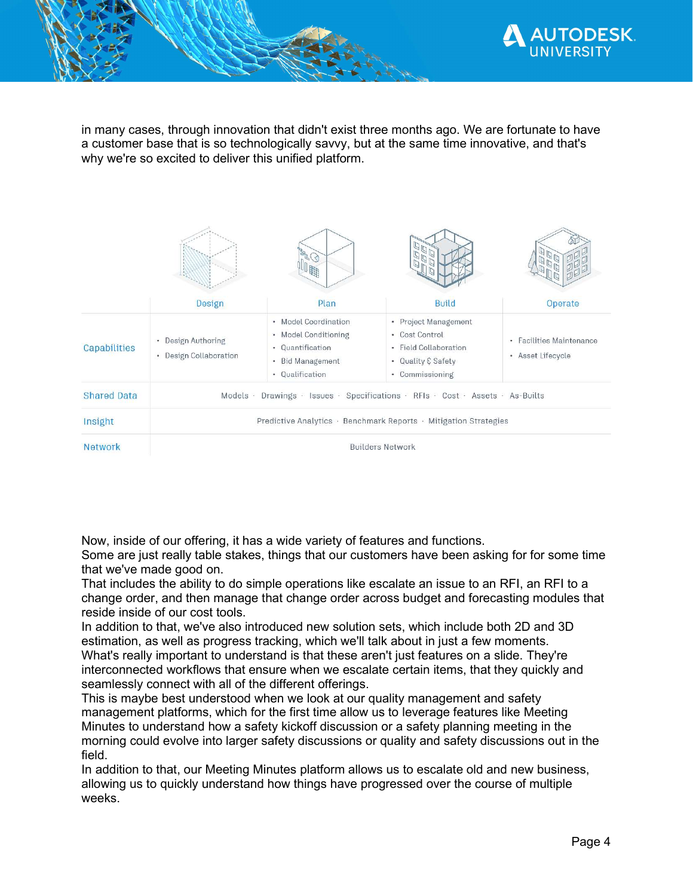

in many cases, through innovation that didn't exist three months ago. We are fortunate to have a customer base that is so technologically savvy, but at the same time innovative, and that's why we're so excited to deliver this unified platform.

|                    |                                                                                   | 36                                                                                                                              |                                                                                                          |                                               |
|--------------------|-----------------------------------------------------------------------------------|---------------------------------------------------------------------------------------------------------------------------------|----------------------------------------------------------------------------------------------------------|-----------------------------------------------|
|                    | Design                                                                            | Plan                                                                                                                            | <b>Build</b>                                                                                             | Operate                                       |
| Capabilities       | • Design Authoring<br>• Design Collaboration                                      | • Model Coordination<br>• Model Conditioning<br>Quantification<br>$\bullet$<br><b>Bid Management</b><br>٠<br>Qualification<br>٠ | • Project Management<br>• Cost Control<br>· Field Collaboration<br>• Quality & Safety<br>• Commissioning | • Facilities Maintenance<br>• Asset Lifecycle |
| <b>Shared Data</b> | Drawings · Issues · Specifications · RFIs · Cost · Assets · As-Builts<br>Models · |                                                                                                                                 |                                                                                                          |                                               |
| Insight            | Predictive Analytics · Benchmark Reports · Mitigation Strategies                  |                                                                                                                                 |                                                                                                          |                                               |
| <b>Network</b>     | <b>Builders Network</b>                                                           |                                                                                                                                 |                                                                                                          |                                               |

Now, inside of our offering, it has a wide variety of features and functions.

Some are just really table stakes, things that our customers have been asking for for some time that we've made good on.

That includes the ability to do simple operations like escalate an issue to an RFI, an RFI to a change order, and then manage that change order across budget and forecasting modules that reside inside of our cost tools.

In addition to that, we've also introduced new solution sets, which include both 2D and 3D estimation, as well as progress tracking, which we'll talk about in just a few moments. What's really important to understand is that these aren't just features on a slide. They're interconnected workflows that ensure when we escalate certain items, that they quickly and seamlessly connect with all of the different offerings.

This is maybe best understood when we look at our quality management and safety management platforms, which for the first time allow us to leverage features like Meeting Minutes to understand how a safety kickoff discussion or a safety planning meeting in the morning could evolve into larger safety discussions or quality and safety discussions out in the field.

In addition to that, our Meeting Minutes platform allows us to escalate old and new business, allowing us to quickly understand how things have progressed over the course of multiple weeks.